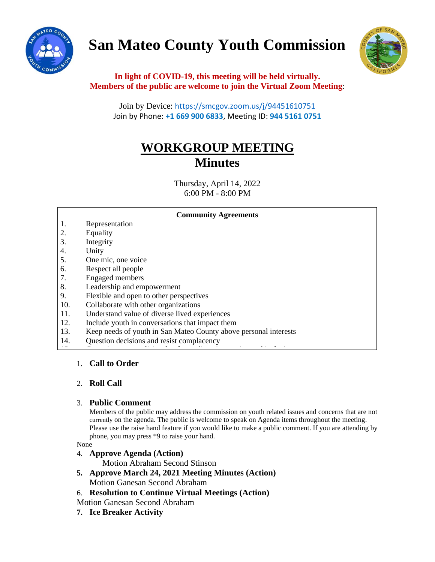

# **San Mateo County Youth Commission**



**In light of COVID-19, this meeting will be held virtually. Members of the public are welcome to join the Virtual Zoom Meeting**:

Join by Device: <https://smcgov.zoom.us/j/94451610751> Join by Phone: **+1 669 900 6833**, Meeting ID: **944 5161 0751**

# **WORKGROUP MEETING Minutes**

Thursday, April 14, 2022 6:00 PM - 8:00 PM

|     | <b>Community Agreements</b>                                      |
|-----|------------------------------------------------------------------|
| 1.  | Representation                                                   |
| 2.  | Equality                                                         |
| 3.  | Integrity                                                        |
| 4.  | Unity                                                            |
| 5.  | One mic, one voice                                               |
| 6.  | Respect all people                                               |
| 7.  | <b>Engaged</b> members                                           |
| 8.  | Leadership and empowerment                                       |
| 9.  | Flexible and open to other perspectives                          |
| 10. | Collaborate with other organizations                             |
| 11. | Understand value of diverse lived experiences                    |
| 12. | Include youth in conversations that impact them                  |
| 13. | Keep needs of youth in San Mateo County above personal interests |
| 14. | Question decisions and resist complacency                        |
|     |                                                                  |

# 1. **Call to Order**

## 2. **Roll Call**

## 3. **Public Comment**

Members of the public may address the commission on youth related issues and concerns that are not currently on the agenda. The public is welcome to speak on Agenda items throughout the meeting. Please use the raise hand feature if you would like to make a public comment. If you are attending by phone, you may press \*9 to raise your hand.

None

## 4. **Approve Agenda (Action)**

Motion Abraham Second Stinson

- **5. Approve March 24, 2021 Meeting Minutes (Action)** Motion Ganesan Second Abraham
- 6. **Resolution to Continue Virtual Meetings (Action)**
- Motion Ganesan Second Abraham
- **7. Ice Breaker Activity**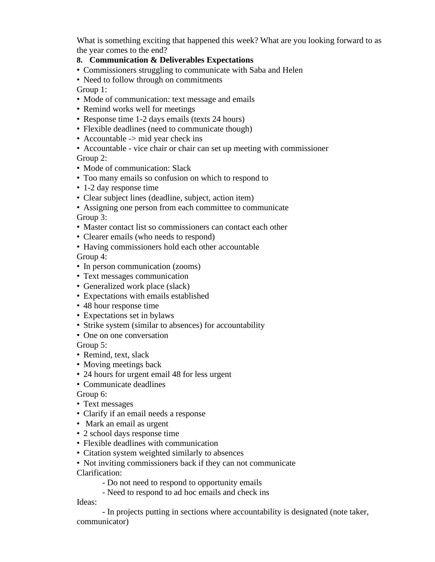What is something exciting that happened this week? What are you looking forward to as the year comes to the end?

# **8. Communication & Deliverables Expectations**

• Commissioners struggling to communicate with Saba and Helen

• Need to follow through on commitments

Group 1:

- Mode of communication: text message and emails
- Remind works well for meetings
- Response time 1-2 days emails (texts 24 hours)
- Flexible deadlines (need to communicate though)
- Accountable -> mid year check ins
- Accountable vice chair or chair can set up meeting with commissioner

Group 2:

- Mode of communication: Slack
- Too many emails so confusion on which to respond to
- 1-2 day response time
- Clear subject lines (deadline, subject, action item)
- Assigning one person from each committee to communicate

Group 3:

- Master contact list so commissioners can contact each other
- Clearer emails (who needs to respond)
- Having commissioners hold each other accountable

Group 4:

- In person communication (zooms)
- Text messages communication
- Generalized work place (slack)
- Expectations with emails established
- 48 hour response time
- Expectations set in bylaws
- Strike system (similar to absences) for accountability
- One on one conversation

Group 5:

- Remind, text, slack
- Moving meetings back
- 24 hours for urgent email 48 for less urgent
- Communicate deadlines

Group 6:

- Text messages
- Clarify if an email needs a response
- Mark an email as urgent
- 2 school days response time
- Flexible deadlines with communication
- Citation system weighted similarly to absences
- Not inviting commissioners back if they can not communicate Clarification:

- Do not need to respond to opportunity emails

- Need to respond to ad hoc emails and check ins

Ideas:

- In projects putting in sections where accountability is designated (note taker, communicator)